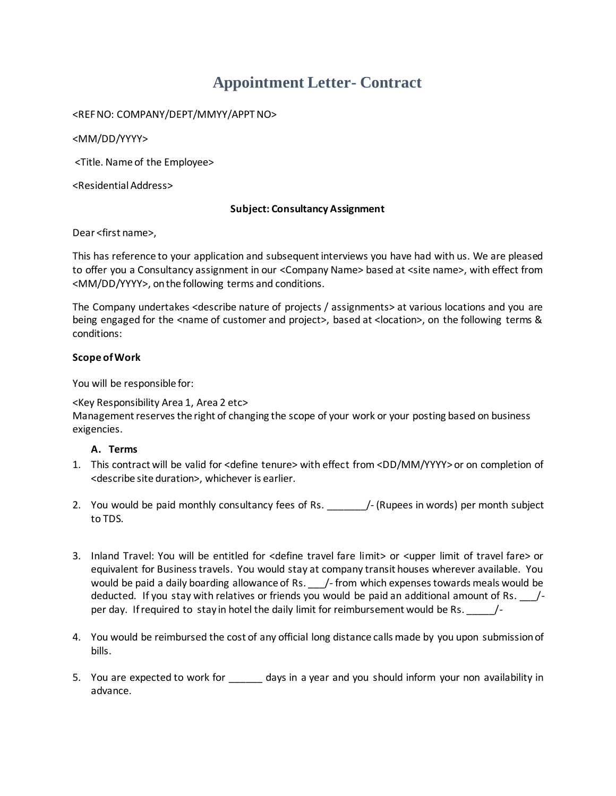# **Appointment Letter- Contract**

## <REF NO: COMPANY/DEPT/MMYY/APPT NO>

<MM/DD/YYYY>

<Title. Name of the Employee>

<Residential Address>

#### **Subject: Consultancy Assignment**

Dear <first name>,

This has reference to your application and subsequent interviews you have had with us. We are pleased to offer you a Consultancy assignment in our <Company Name> based at <site name>, with effect from <MM/DD/YYYY>, on the following terms and conditions.

The Company undertakes <describe nature of projects / assignments> at various locations and you are being engaged for the <name of customer and project>, based at <location>, on the following terms & conditions:

## **Scope of Work**

You will be responsible for:

#### <Key Responsibility Area 1, Area 2 etc> Management reserves the right of changing the scope of your work or your posting based on business exigencies.

# **A. Terms**

- 1. This contract will be valid for <define tenure> with effect from <DD/MM/YYYY> or on completion of <describe site duration>, whichever is earlier.
- 2. You would be paid monthly consultancy fees of Rs. 4. The (Rupees in words) per month subject to TDS.
- 3. Inland Travel: You will be entitled for <define travel fare limit> or <upper limit of travel fare> or equivalent for Business travels. You would stay at company transit houses wherever available. You would be paid a daily boarding allowance of Rs. \_\_\_\_/- from which expenses towards meals would be deducted. If you stay with relatives or friends you would be paid an additional amount of Rs. /per day. If required to stay in hotel the daily limit for reimbursement would be Rs. \_\_\_\_\_/-
- 4. You would be reimbursed the cost of any official long distance calls made by you upon submission of bills.
- 5. You are expected to work for a days in a year and you should inform your non availability in advance.